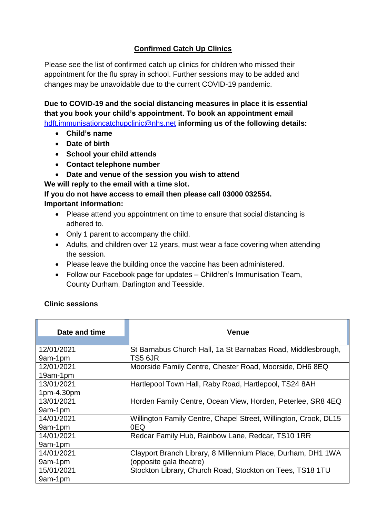## **Confirmed Catch Up Clinics**

Please see the list of confirmed catch up clinics for children who missed their appointment for the flu spray in school. Further sessions may to be added and changes may be unavoidable due to the current COVID-19 pandemic.

**Due to COVID-19 and the social distancing measures in place it is essential that you book your child's appointment. To book an appointment email**  [hdft.immunisationcatchupclinic@nhs.net](mailto:hdft.immunisationcatchupclinic@nhs.net) **informing us of the following details:**

- **Child's name**
- **Date of birth**
- **School your child attends**
- **Contact telephone number**
- **Date and venue of the session you wish to attend**

**We will reply to the email with a time slot.** 

**If you do not have access to email then please call 03000 032554. Important information:**

- Please attend you appointment on time to ensure that social distancing is adhered to.
- Only 1 parent to accompany the child.
- Adults, and children over 12 years, must wear a face covering when attending the session.
- Please leave the building once the vaccine has been administered.
- Follow our Facebook page for updates Children's Immunisation Team, County Durham, Darlington and Teesside.

## **Clinic sessions**

| Date and time | <b>Venue</b>                                                     |
|---------------|------------------------------------------------------------------|
| 12/01/2021    | St Barnabus Church Hall, 1a St Barnabas Road, Middlesbrough,     |
| 9am-1pm       | TS5 6JR                                                          |
| 12/01/2021    | Moorside Family Centre, Chester Road, Moorside, DH6 8EQ          |
| 19am-1pm      |                                                                  |
| 13/01/2021    | Hartlepool Town Hall, Raby Road, Hartlepool, TS24 8AH            |
| 1pm-4.30pm    |                                                                  |
| 13/01/2021    | Horden Family Centre, Ocean View, Horden, Peterlee, SR8 4EQ      |
| 9am-1pm       |                                                                  |
| 14/01/2021    | Willington Family Centre, Chapel Street, Willington, Crook, DL15 |
| 9am-1pm       | 0EQ                                                              |
| 14/01/2021    | Redcar Family Hub, Rainbow Lane, Redcar, TS10 1RR                |
| 9am-1pm       |                                                                  |
| 14/01/2021    | Clayport Branch Library, 8 Millennium Place, Durham, DH1 1WA     |
| 9am-1pm       | (opposite gala theatre)                                          |
| 15/01/2021    | Stockton Library, Church Road, Stockton on Tees, TS18 1TU        |
| 9am-1pm       |                                                                  |